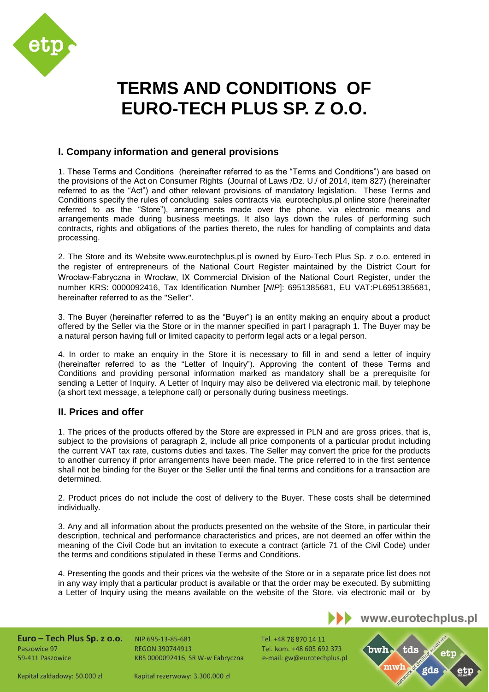

# **TERMS AND CONDITIONS OF EURO-TECH PLUS SP. Z O.O.**

## **I. Company information and general provisions**

1. These Terms and Conditions (hereinafter referred to as the "Terms and Conditions") are based on the provisions of the Act on Consumer Rights (Journal of Laws /Dz. U./ of 2014, item 827) (hereinafter referred to as the "Act") and other relevant provisions of mandatory legislation. These Terms and Conditions specify the rules of concluding sales contracts via eurotechplus.pl online store (hereinafter referred to as the "Store"), arrangements made over the phone, via electronic means and arrangements made during business meetings. It also lays down the rules of performing such contracts, rights and obligations of the parties thereto, the rules for handling of complaints and data processing.

2. The Store and its Website [www.eurotechplus.pl](http://www.eurotechplus.pl/) is owned by Euro-Tech Plus Sp. z o.o. entered in the register of entrepreneurs of the National Court Register maintained by the District Court for Wrocław-Fabryczna in Wrocław, IX Commercial Division of the National Court Register, under the number KRS: 0000092416, Tax Identification Number [*NIP*]: 6951385681, EU VAT:PL6951385681, hereinafter referred to as the "Seller".

3. The Buyer (hereinafter referred to as the "Buyer") is an entity making an enquiry about a product offered by the Seller via the Store or in the manner specified in part I paragraph 1. The Buyer may be a natural person having full or limited capacity to perform legal acts or a legal person.

4. In order to make an enquiry in the Store it is necessary to fill in and send a letter of inquiry (hereinafter referred to as the "Letter of Inquiry"). Approving the content of these Terms and Conditions and providing personal information marked as mandatory shall be a prerequisite for sending a Letter of Inquiry. A Letter of Inquiry may also be delivered via electronic mail, by telephone (a short text message, a telephone call) or personally during business meetings.

## **II. Prices and offer**

1. The prices of the products offered by the Store are expressed in PLN and are gross prices, that is, subject to the provisions of paragraph 2, include all price components of a particular produt including the current VAT tax rate, customs duties and taxes. The Seller may convert the price for the products to another currency if prior arrangements have been made. The price referred to in the first sentence shall not be binding for the Buyer or the Seller until the final terms and conditions for a transaction are determined.

2. Product prices do not include the cost of delivery to the Buyer. These costs shall be determined individually.

3. Any and all information about the products presented on the website of the Store, in particular their description, technical and performance characteristics and prices, are not deemed an offer within the meaning of the Civil Code but an invitation to execute a contract (article 71 of the Civil Code) under the terms and conditions stipulated in these Terms and Conditions.

4. Presenting the goods and their prices via the website of the Store or in a separate price list does not in any way imply that a particular product is available or that the order may be executed. By submitting a Letter of Inquiry using the means available on the website of the Store, via electronic mail or by

Euro - Tech Plus Sp. z o.o. Paszowice 97 59-411 Paszowice

NIP 695-13-85-681 **REGON 390744913** KRS 0000092416, SR W-w Fabryczna Tel. +48 76 870 14 11 Tel. kom. +48 605 692 373 e-mail: gw@eurotechplus.pl bwh tds

www.eurotechplus.pl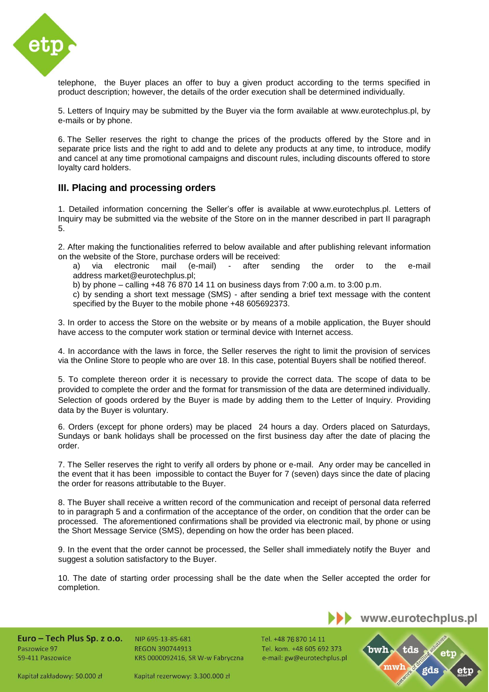

telephone, the Buyer places an offer to buy a given product according to the terms specified in product description; however, the details of the order execution shall be determined individually.

5. Letters of Inquiry may be submitted by the Buyer via the form available at www.eurotechplus.pl, by e-mails or by phone.

6. The Seller reserves the right to change the prices of the products offered by the Store and in separate price lists and the right to add and to delete any products at any time, to introduce, modify and cancel at any time promotional campaigns and discount rules, including discounts offered to store loyalty card holders.

#### **III. Placing and processing orders**

1. Detailed information concerning the Seller's offer is available at [www.eurotechplus.pl.](http://www.eurotechplus.pl/) Letters of Inquiry may be submitted via the website of the Store on in the manner described in part II paragraph 5.

2. After making the functionalities referred to below available and after publishing relevant information on the website of the Store, purchase orders will be received:

a) via electronic mail (e-mail) - after sending the order to the e-mail address [market@eurotechplus.pl;](mailto:market@eurotechplus.pl;)

b) by phone – calling +48 76 870 14 11 on business days from 7:00 a.m. to 3:00 p.m.

c) by sending a short text message (SMS) - after sending a brief text message with the content specified by the Buyer to the mobile phone +48 605692373.

3. In order to access the Store on the website or by means of a mobile application, the Buyer should have access to the computer work station or terminal device with Internet access.

4. In accordance with the laws in force, the Seller reserves the right to limit the provision of services via the Online Store to people who are over 18. In this case, potential Buyers shall be notified thereof.

5. To complete thereon order it is necessary to provide the correct data. The scope of data to be provided to complete the order and the format for transmission of the data are determined individually. Selection of goods ordered by the Buyer is made by adding them to the Letter of Inquiry. Providing data by the Buyer is voluntary.

6. Orders (except for phone orders) may be placed 24 hours a day. Orders placed on Saturdays, Sundays or bank holidays shall be processed on the first business day after the date of placing the order.

7. The Seller reserves the right to verify all orders by phone or e-mail. Any order may be cancelled in the event that it has been impossible to contact the Buyer for 7 (seven) days since the date of placing the order for reasons attributable to the Buyer.

8. The Buyer shall receive a written record of the communication and receipt of personal data referred to in paragraph 5 and a confirmation of the acceptance of the order, on condition that the order can be processed. The aforementioned confirmations shall be provided via electronic mail, by phone or using the Short Message Service (SMS), depending on how the order has been placed.

9. In the event that the order cannot be processed, the Seller shall immediately notify the Buyer and suggest a solution satisfactory to the Buyer.

10. The date of starting order processing shall be the date when the Seller accepted the order for completion.

Euro - Tech Plus Sp. z o.o. Paszowice 97 59-411 Paszowice

NIP 695-13-85-681 **REGON 390744913** KRS 0000092416, SR W-w Fabryczna Tel. +48 76 870 14 11 Tel. kom. +48 605 692 373 e-mail: gw@eurotechplus.pl

www.eurotechplus.pl



Kapitał zakładowy: 50.000 zł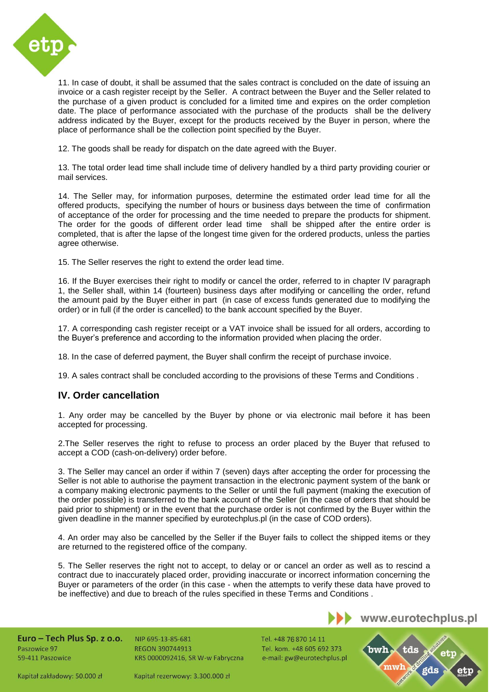

11. In case of doubt, it shall be assumed that the sales contract is concluded on the date of issuing an invoice or a cash register receipt by the Seller. A contract between the Buyer and the Seller related to the purchase of a given product is concluded for a limited time and expires on the order completion date. The place of performance associated with the purchase of the products shall be the delivery address indicated by the Buyer, except for the products received by the Buyer in person, where the place of performance shall be the collection point specified by the Buyer.

12. The goods shall be ready for dispatch on the date agreed with the Buyer.

13. The total order lead time shall include time of delivery handled by a third party providing courier or mail services.

14. The Seller may, for information purposes, determine the estimated order lead time for all the offered products, specifying the number of hours or business days between the time of confirmation of acceptance of the order for processing and the time needed to prepare the products for shipment. The order for the goods of different order lead time shall be shipped after the entire order is completed, that is after the lapse of the longest time given for the ordered products, unless the parties agree otherwise.

15. The Seller reserves the right to extend the order lead time.

16. If the Buyer exercises their right to modify or cancel the order, referred to in chapter IV paragraph 1, the Seller shall, within 14 (fourteen) business days after modifying or cancelling the order, refund the amount paid by the Buyer either in part (in case of excess funds generated due to modifying the order) or in full (if the order is cancelled) to the bank account specified by the Buyer.

17. A corresponding cash register receipt or a VAT invoice shall be issued for all orders, according to the Buyer's preference and according to the information provided when placing the order.

18. In the case of deferred payment, the Buyer shall confirm the receipt of purchase invoice.

19. A sales contract shall be concluded according to the provisions of these Terms and Conditions .

## **IV. Order cancellation**

1. Any order may be cancelled by the Buyer by phone or via electronic mail before it has been accepted for processing.

2.The Seller reserves the right to refuse to process an order placed by the Buyer that refused to accept a COD (cash-on-delivery) order before.

3. The Seller may cancel an order if within 7 (seven) days after accepting the order for processing the Seller is not able to authorise the payment transaction in the electronic payment system of the bank or a company making electronic payments to the Seller or until the full payment (making the execution of the order possible) is transferred to the bank account of the Seller (in the case of orders that should be paid prior to shipment) or in the event that the purchase order is not confirmed by the Buyer within the given deadline in the manner specified by eurotechplus.pl (in the case of COD orders).

4. An order may also be cancelled by the Seller if the Buyer fails to collect the shipped items or they are returned to the registered office of the company.

5. The Seller reserves the right not to accept, to delay or or cancel an order as well as to rescind a contract due to inaccurately placed order, providing inaccurate or incorrect information concerning the Buyer or parameters of the order (in this case - when the attempts to verify these data have proved to be ineffective) and due to breach of the rules specified in these Terms and Conditions .

Euro - Tech Plus Sp. z o.o. Paszowice 97 59-411 Paszowice

NIP 695-13-85-681 **REGON 390744913** KRS 0000092416, SR W-w Fabryczna Tel. +48 76 870 14 11 Tel. kom. +48 605 692 373 e-mail: gw@eurotechplus.pl

www.eurotechplus.pl

tds

bwh

Kapitał zakładowy: 50.000 zł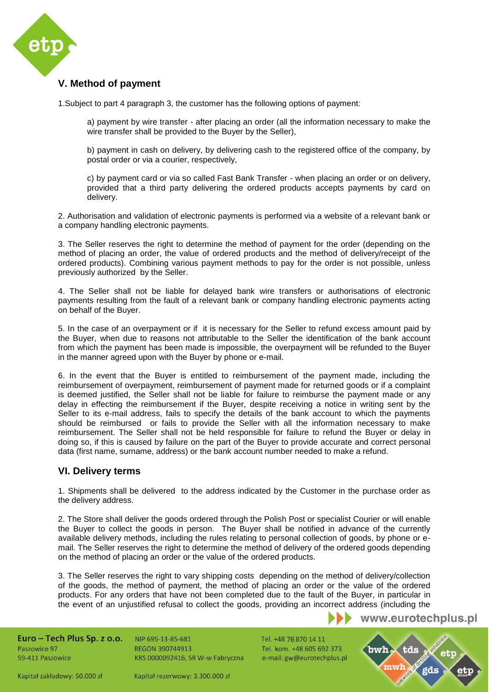

# **V. Method of payment**

1.Subject to part 4 paragraph 3, the customer has the following options of payment:

a) payment by wire transfer - after placing an order (all the information necessary to make the wire transfer shall be provided to the Buyer by the Seller),

b) payment in cash on delivery, by delivering cash to the registered office of the company, by postal order or via a courier, respectively,

c) by payment card or via so called Fast Bank Transfer - when placing an order or on delivery, provided that a third party delivering the ordered products accepts payments by card on delivery.

2. Authorisation and validation of electronic payments is performed via a website of a relevant bank or a company handling electronic payments.

3. The Seller reserves the right to determine the method of payment for the order (depending on the method of placing an order, the value of ordered products and the method of delivery/receipt of the ordered products). Combining various payment methods to pay for the order is not possible, unless previously authorized by the Seller.

4. The Seller shall not be liable for delayed bank wire transfers or authorisations of electronic payments resulting from the fault of a relevant bank or company handling electronic payments acting on behalf of the Buyer.

5. In the case of an overpayment or if it is necessary for the Seller to refund excess amount paid by the Buyer, when due to reasons not attributable to the Seller the identification of the bank account from which the payment has been made is impossible, the overpayment will be refunded to the Buyer in the manner agreed upon with the Buyer by phone or e-mail.

6. In the event that the Buyer is entitled to reimbursement of the payment made, including the reimbursement of overpayment, reimbursement of payment made for returned goods or if a complaint is deemed justified, the Seller shall not be liable for failure to reimburse the payment made or any delay in effecting the reimbursement if the Buyer, despite receiving a notice in writing sent by the Seller to its e-mail address, fails to specify the details of the bank account to which the payments should be reimbursed or fails to provide the Seller with all the information necessary to make reimbursement. The Seller shall not be held responsible for failure to refund the Buyer or delay in doing so, if this is caused by failure on the part of the Buyer to provide accurate and correct personal data (first name, surname, address) or the bank account number needed to make a refund.

#### **VI. Delivery terms**

1. Shipments shall be delivered to the address indicated by the Customer in the purchase order as the delivery address.

2. The Store shall deliver the goods ordered through the Polish Post or specialist Courier or will enable the Buyer to collect the goods in person. The Buyer shall be notified in advance of the currently available delivery methods, including the rules relating to personal collection of goods, by phone or email. The Seller reserves the right to determine the method of delivery of the ordered goods depending on the method of placing an order or the value of the ordered products.

3. The Seller reserves the right to vary shipping costs depending on the method of delivery/collection of the goods, the method of payment, the method of placing an order or the value of the ordered products. For any orders that have not been completed due to the fault of the Buyer, in particular in the event of an unjustified refusal to collect the goods, providing an incorrect address (including the

www.eurotechplus.pl

Euro - Tech Plus Sp. z o.o. Paszowice 97 59-411 Paszowice

NIP 695-13-85-681 **REGON 390744913** KRS 0000092416, SR W-w Fabryczna Tel. +48 76 870 14 11 Tel. kom. +48 605 692 373 e-mail: gw@eurotechplus.pl

bwh tds

Kapitał zakładowy: 50.000 zł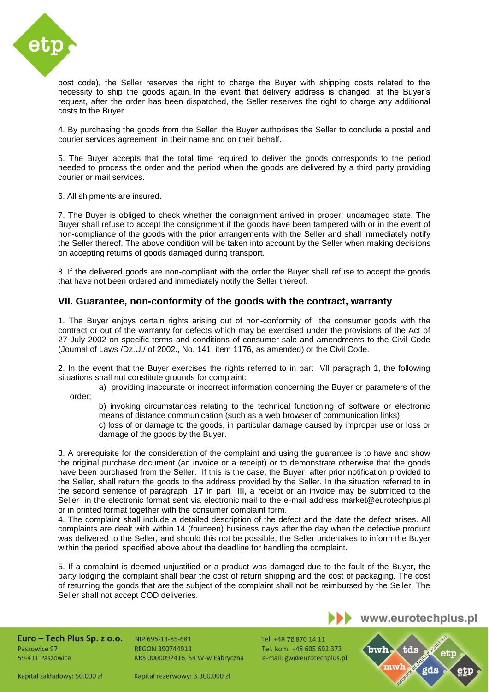

post code), the Seller reserves the right to charge the Buyer with shipping costs related to the necessity to ship the goods again. In the event that delivery address is changed, at the Buyer's request, after the order has been dispatched, the Seller reserves the right to charge any additional costs to the Buyer.

4. By purchasing the goods from the Seller, the Buyer authorises the Seller to conclude a postal and courier services agreement in their name and on their behalf.

5. The Buyer accepts that the total time required to deliver the goods corresponds to the period needed to process the order and the period when the goods are delivered by a third party providing courier or mail services.

6. All shipments are insured.

7. The Buyer is obliged to check whether the consignment arrived in proper, undamaged state. The Buyer shall refuse to accept the consignment if the goods have been tampered with or in the event of non-compliance of the goods with the prior arrangements with the Seller and shall immediately notify the Seller thereof. The above condition will be taken into account by the Seller when making decisions on accepting returns of goods damaged during transport.

8. If the delivered goods are non-compliant with the order the Buyer shall refuse to accept the goods that have not been ordered and immediately notify the Seller thereof.

#### **VII. Guarantee, non-conformity of the goods with the contract, warranty**

1. The Buyer enjoys certain rights arising out of non-conformity of the consumer goods with the contract or out of the warranty for defects which may be exercised under the provisions of the Act of 27 July 2002 on specific terms and conditions of consumer sale and amendments to the Civil Code (Journal of Laws /Dz.U./ of 2002., No. 141, item 1176, as amended) or the Civil Code.

2. In the event that the Buyer exercises the rights referred to in part VII paragraph 1, the following situations shall not constitute grounds for complaint:

a) providing inaccurate or incorrect information concerning the Buyer or parameters of the order;

b) invoking circumstances relating to the technical functioning of software or electronic means of distance communication (such as a web browser of communication links);

c) loss of or damage to the goods, in particular damage caused by improper use or loss or damage of the goods by the Buyer.

3. A prerequisite for the consideration of the complaint and using the guarantee is to have and show the original purchase document (an invoice or a receipt) or to demonstrate otherwise that the goods have been purchased from the Seller. If this is the case, the Buyer, after prior notification provided to the Seller, shall return the goods to the address provided by the Seller. In the situation referred to in the second sentence of paragraph 17 in part III, a receipt or an invoice may be submitted to the Seller in the electronic format sent via electronic mail to the e-mail address [market@eurotechplus.pl](mailto:market@eurotechplus.pl) or in printed format together with the consumer complaint form.

4. The complaint shall include a detailed description of the defect and the date the defect arises. All complaints are dealt with within 14 (fourteen) business days after the day when the defective product was delivered to the Seller, and should this not be possible, the Seller undertakes to inform the Buyer within the period specified above about the deadline for handling the complaint.

5. If a complaint is deemed unjustified or a product was damaged due to the fault of the Buyer, the party lodging the complaint shall bear the cost of return shipping and the cost of packaging. The cost of returning the goods that are the subject of the complaint shall not be reimbursed by the Seller. The Seller shall not accept COD deliveries.

Euro - Tech Plus Sp. z o.o. Paszowice 97 59-411 Paszowice

NIP 695-13-85-681 **REGON 390744913** KRS 0000092416, SR W-w Fabryczna Tel. +48 76 870 14 11 Tel. kom. +48 605 692 373 e-mail: gw@eurotechplus.pl tds

www.eurotechplus.pl

Kapitał zakładowy: 50.000 zł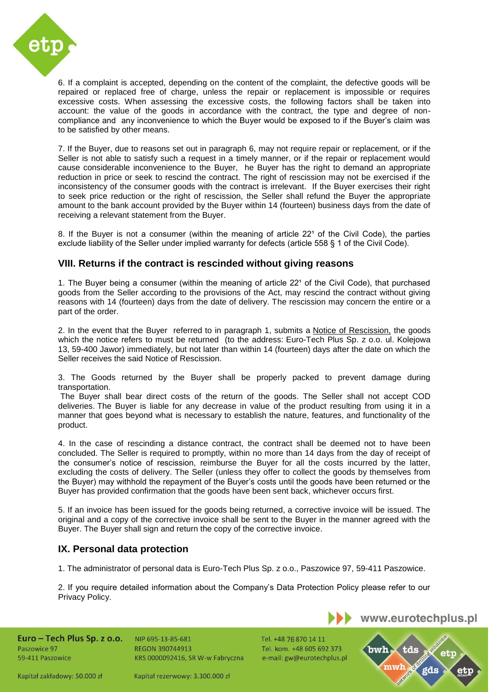

6. If a complaint is accepted, depending on the content of the complaint, the defective goods will be repaired or replaced free of charge, unless the repair or replacement is impossible or requires excessive costs. When assessing the excessive costs, the following factors shall be taken into account: the value of the goods in accordance with the contract, the type and degree of noncompliance and any inconvenience to which the Buyer would be exposed to if the Buyer's claim was to be satisfied by other means.

7. If the Buyer, due to reasons set out in paragraph 6, may not require repair or replacement, or if the Seller is not able to satisfy such a request in a timely manner, or if the repair or replacement would cause considerable inconvenience to the Buyer, he Buyer has the right to demand an appropriate reduction in price or seek to rescind the contract. The right of rescission may not be exercised if the inconsistency of the consumer goods with the contract is irrelevant. If the Buyer exercises their right to seek price reduction or the right of rescission, the Seller shall refund the Buyer the appropriate amount to the bank account provided by the Buyer within 14 (fourteen) business days from the date of receiving a relevant statement from the Buyer.

8. If the Buyer is not a consumer (within the meaning of article 22<sup>1</sup> of the Civil Code), the parties exclude liability of the Seller under implied warranty for defects (article 558 § 1 of the Civil Code).

#### **VIII. Returns if the contract is rescinded without giving reasons**

1. The Buyer being a consumer (within the meaning of article 22<sup>1</sup> of the Civil Code), that purchased goods from the Seller according to the provisions of the Act, may rescind the contract without giving reasons with 14 (fourteen) days from the date of delivery. The rescission may concern the entire or a part of the order.

2. In the event that the Buyer referred to in paragraph 1, submits a [Notice](http://www.osovski.pl/data/include/cms/dokumenty_formularze/odstapienie_3.pdf) of Rescission, the goods which the notice refers to must be returned (to the address: Euro-Tech Plus Sp. z o.o. ul. Kolejowa 13, 59-400 Jawor) immediately, but not later than within 14 (fourteen) days after the date on which the Seller receives the said Notice of Rescission.

3. The Goods returned by the Buyer shall be properly packed to prevent damage during transportation.

The Buyer shall bear direct costs of the return of the goods. The Seller shall not accept COD deliveries. The Buyer is liable for any decrease in value of the product resulting from using it in a manner that goes beyond what is necessary to establish the nature, features, and functionality of the product.

4. In the case of rescinding a distance contract, the contract shall be deemed not to have been concluded. The Seller is required to promptly, within no more than 14 days from the day of receipt of the consumer's notice of rescission, reimburse the Buyer for all the costs incurred by the latter, excluding the costs of delivery. The Seller (unless they offer to collect the goods by themselves from the Buyer) may withhold the repayment of the Buyer's costs until the goods have been returned or the Buyer has provided confirmation that the goods have been sent back, whichever occurs first.

5. If an invoice has been issued for the goods being returned, a corrective invoice will be issued. The original and a copy of the corrective invoice shall be sent to the Buyer in the manner agreed with the Buyer. The Buyer shall sign and return the copy of the corrective invoice.

#### **IX. Personal data protection**

1. The administrator of personal data is Euro-Tech Plus Sp. z o.o., Paszowice 97, 59-411 Paszowice.

2. If you require detailed information about the Company's Data Protection Policy please refer to our Privacy Policy.

Euro - Tech Plus Sp. z o.o. Paszowice 97 59-411 Paszowice

NIP 695-13-85-681 **REGON 390744913** KRS 0000092416, SR W-w Fabryczna

Kapitał rezerwowy: 3.300.000 zł

Tel. +48 76 870 14 11 Tel. kom. +48 605 692 373 e-mail: gw@eurotechplus.pl bwh tds

www.eurotechplus.pl